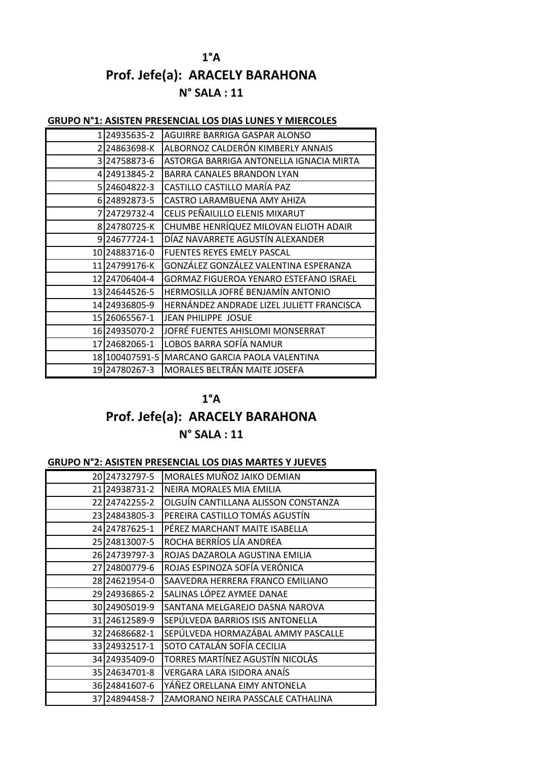## **1°A Prof. Jefe(a): ARACELY BARAHONA N° SALA : 11**

#### **GRUPO N°1: ASISTEN PRESENCIAL LOS DIAS LUNES Y MIERCOLES**

| 124935635-2             | AGUIRRE BARRIGA GASPAR ALONSO                 |
|-------------------------|-----------------------------------------------|
| 2 2 2 4 8 6 3 6 9 8 - K | ALBORNOZ CALDERÓN KIMBERLY ANNAIS             |
| 3 24758873-6            | ASTORGA BARRIGA ANTONELLA IGNACIA MIRTA       |
| 4 24913845-2            | <b>BARRA CANALES BRANDON LYAN</b>             |
| 5 24604822-3            | CASTILLO CASTILLO MARÍA PAZ                   |
| 6 24892873-5            | CASTRO LARAMBUENA AMY AHIZA                   |
| 7 24729732-4            | CELIS PEÑAILILLO ELENIS MIXARUT               |
| 824780725-K             | CHUMBE HENRÍQUEZ MILOVAN ELIOTH ADAIR         |
| 924677724-1             | DÍAZ NAVARRETE AGUSTÍN ALEXANDER              |
| 10 24883716-0           | <b>FUENTES REYES EMELY PASCAL</b>             |
| 11 24799176-K           | GONZÁLEZ GONZÁLEZ VALENTINA ESPERANZA         |
| 12 2470 640 4-4         | GORMAZ FIGUEROA YENARO ESTEFANO ISRAEL        |
| 13 24644526-5           | HERMOSILLA JOFRÉ BENJAMÍN ANTONIO             |
| 14 24936805-9           | HERNÁNDEZ ANDRADE LIZEL JULIETT FRANCISCA     |
| 15 26065567-1           | <b>JEAN PHILIPPE JOSUE</b>                    |
| 16 24935070-2           | JOFRÉ FUENTES AHISLOMI MONSERRAT              |
| 17 24682065-1           | LOBOS BARRA SOFÍA NAMUR                       |
|                         | 18 100407591-5 MARCANO GARCIA PAOLA VALENTINA |
| 19 24780267-3           | MORALES BELTRÁN MAITE JOSEFA                  |

### **1°A**

# **Prof. Jefe(a): ARACELY BARAHONA**

### **N° SALA : 11**

### **GRUPO N°2: ASISTEN PRESENCIAL LOS DIAS MARTES Y JUEVES**

| 20 24732797-5     | MORALES MUÑOZ JAIKO DEMIAN          |
|-------------------|-------------------------------------|
| 21 24938731-2     | NEIRA MORALES MIA EMILIA            |
| 22 2474 2255 - 2  | OLGUÍN CANTILLANA ALISSON CONSTANZA |
| 23 24843805-3     | PEREIRA CASTILLO TOMÁS AGUSTÍN      |
| 24 24787625-1     | PÉREZ MARCHANT MAITE ISABELLA       |
| 25 24813007-5     | ROCHA BERRÍOS LÍA ANDREA            |
| 26 24739797-3     | ROJAS DAZAROLA AGUSTINA EMILIA      |
| 27 24800779-6     | ROJAS ESPINOZA SOFÍA VERÓNICA       |
| 28 24621954-0     | SAAVEDRA HERRERA FRANCO EMILIANO    |
| 29 24936865-2     | SALINAS LÓPEZ AYMEE DANAE           |
| 30 249 050 19-9   | SANTANA MELGAREJO DASNA NAROVA      |
| 31 246 1258 9-9   | SEPÚLVEDA BARRIOS ISIS ANTONELLA    |
| 32 2468 6682-1    | SEPÚLVEDA HORMAZÁBAL AMMY PASCALLE  |
| 33 249 325 17 - 1 | SOTO CATALÁN SOFÍA CECILIA          |
| 34 249 354 09-0   | TORRES MARTÍNEZ AGUSTÍN NICOLÁS     |
| 35 24634701-8     | VERGARA LARA ISIDORA ANAÍS          |
| 36 24841607-6     | YAÑEZ ORELLANA EIMY ANTONELA        |
| 37 248 944 58 - 7 | ZAMORANO NEIRA PASSCALE CATHALINA   |